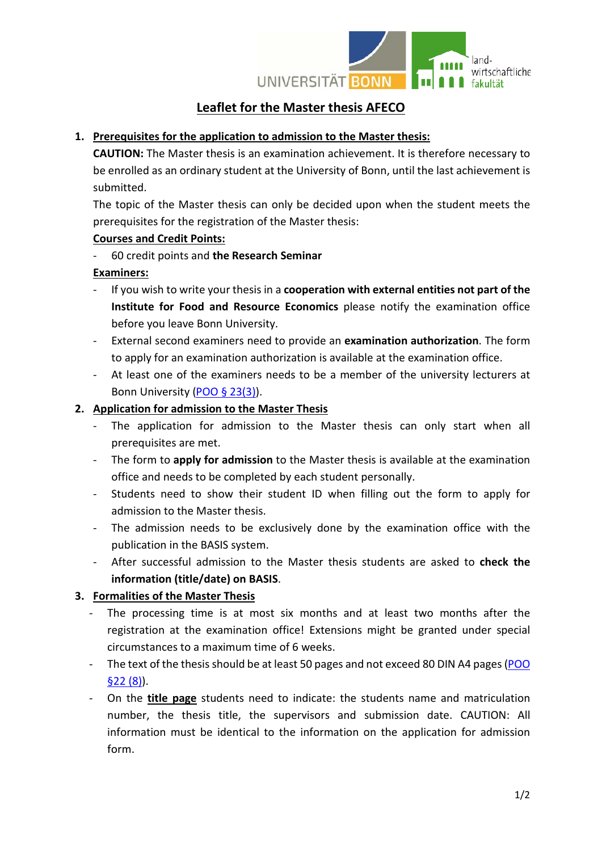

# **Leaflet for the Master thesis AFECO**

### **1. Prerequisites for the application to admission to the Master thesis:**

**CAUTION:** The Master thesis is an examination achievement. It is therefore necessary to be enrolled as an ordinary student at the University of Bonn, until the last achievement is submitted.

The topic of the Master thesis can only be decided upon when the student meets the prerequisites for the registration of the Master thesis:

#### **Courses and Credit Points:**

- 60 credit points and **the Research Seminar**

#### **Examiners:**

- If you wish to write your thesis in a **cooperation with external entities not part of the Institute for Food and Resource Economics** please notify the examination office before you leave Bonn University.
- External second examiners need to provide an **examination authorization**. The form to apply for an examination authorization is available at the examination office.
- At least one of the examiners needs to be a member of the university lecturers at Bonn University [\(POO § 23\(3\)\)](https://www.lwf.uni-bonn.de/fakultaetsrat/fakultaetsratssitzungen-akademisches-jahr-2015-2016/pruefungsorganisationsordnung).

### **2. Application for admission to the Master Thesis**

- The application for admission to the Master thesis can only start when all prerequisites are met.
- The form to **apply for admission** to the Master thesis is available at the examination office and needs to be completed by each student personally.
- Students need to show their student ID when filling out the form to apply for admission to the Master thesis.
- The admission needs to be exclusively done by the examination office with the publication in the BASIS system.
- After successful admission to the Master thesis students are asked to **check the information (title/date) on BASIS**.

## **3. Formalities of the Master Thesis**

- The processing time is at most six months and at least two months after the registration at the examination office! Extensions might be granted under special circumstances to a maximum time of 6 weeks.
- The text of the thesis should be at least 50 pages and not exceed 80 DIN A4 pages (POO [§22 \(8\)\)](https://www.lwf.uni-bonn.de/fakultaetsrat/fakultaetsratssitzungen-akademisches-jahr-2015-2016/pruefungsorganisationsordnung).
- On the **title page** students need to indicate: the students name and matriculation number, the thesis title, the supervisors and submission date. CAUTION: All information must be identical to the information on the application for admission form.